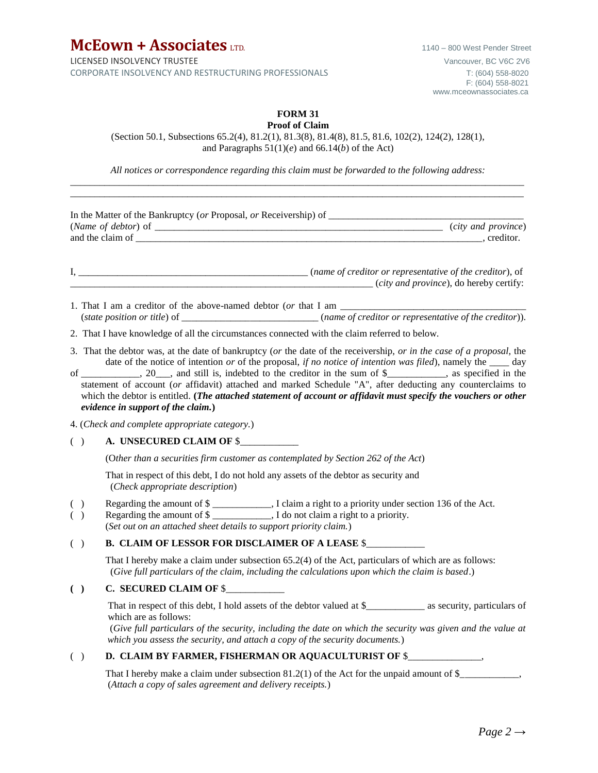**McEown + Associates** LTD. 1140 – 800 West Pender Street LICENSED INSOLVENCY TRUSTEE VANCOUVER CHARGE VANCOUVER, BC V6C 2V6 CORPORATE INSOLVENCY AND RESTRUCTURING PROFESSIONALS T: (604) 558-8020

#### **FORM 31 Proof of Claim**

(Section 50.1, Subsections 65.2(4), 81.2(1), 81.3(8), 81.4(8), 81.5, 81.6, 102(2), 124(2), 128(1), and Paragraphs 51(1)(*e*) and 66.14(*b*) of the Act)

*All notices or correspondence regarding this claim must be forwarded to the following address:* \_\_\_\_\_\_\_\_\_\_\_\_\_\_\_\_\_\_\_\_\_\_\_\_\_\_\_\_\_\_\_\_\_\_\_\_\_\_\_\_\_\_\_\_\_\_\_\_\_\_\_\_\_\_\_\_\_\_\_\_\_\_\_\_\_\_\_\_\_\_\_\_\_\_\_\_\_\_\_\_\_\_\_\_\_\_\_\_\_\_\_\_\_

|            | $\qquad \qquad (city and province),$ do hereby certify:                                                                                                                                                                                                                                                                                                                                                                                                                                                                                                                                                                        |
|------------|--------------------------------------------------------------------------------------------------------------------------------------------------------------------------------------------------------------------------------------------------------------------------------------------------------------------------------------------------------------------------------------------------------------------------------------------------------------------------------------------------------------------------------------------------------------------------------------------------------------------------------|
|            | (state position or title) of __________________________(name of creditor or representative of the creditor)).                                                                                                                                                                                                                                                                                                                                                                                                                                                                                                                  |
|            | 2. That I have knowledge of all the circumstances connected with the claim referred to below.                                                                                                                                                                                                                                                                                                                                                                                                                                                                                                                                  |
|            | 3. That the debtor was, at the date of bankruptcy (or the date of the receivership, or in the case of a proposal, the<br>date of the notice of intention or of the proposal, if no notice of intention was filed), namely the $\_\_\_$ day<br>of _________, 20__, and still is, indebted to the creditor in the sum of \$________, as specified in the<br>statement of account (or affidavit) attached and marked Schedule "A", after deducting any counterclaims to<br>which the debtor is entitled. (The attached statement of account or affidavit must specify the vouchers or other<br>evidence in support of the claim.) |
|            | 4. (Check and complete appropriate category.)                                                                                                                                                                                                                                                                                                                                                                                                                                                                                                                                                                                  |
| ( )        | A. UNSECURED CLAIM OF \$                                                                                                                                                                                                                                                                                                                                                                                                                                                                                                                                                                                                       |
|            | (Other than a securities firm customer as contemplated by Section 262 of the Act)                                                                                                                                                                                                                                                                                                                                                                                                                                                                                                                                              |
|            | That in respect of this debt, I do not hold any assets of the debtor as security and<br>(Check appropriate description)                                                                                                                                                                                                                                                                                                                                                                                                                                                                                                        |
| ( )<br>( ) | Regarding the amount of \$<br>Regarding the amount of \$ ____________, I do not claim a right to a priority.<br>(Set out on an attached sheet details to support priority claim.)                                                                                                                                                                                                                                                                                                                                                                                                                                              |
| ( )        | <b>B. CLAIM OF LESSOR FOR DISCLAIMER OF A LEASE \$</b>                                                                                                                                                                                                                                                                                                                                                                                                                                                                                                                                                                         |
|            | That I hereby make a claim under subsection 65.2(4) of the Act, particulars of which are as follows:<br>(Give full particulars of the claim, including the calculations upon which the claim is based.)                                                                                                                                                                                                                                                                                                                                                                                                                        |
| ( )        | C. SECURED CLAIM OF \$                                                                                                                                                                                                                                                                                                                                                                                                                                                                                                                                                                                                         |
|            | That in respect of this debt, I hold assets of the debtor valued at \$______________ as security, particulars of<br>which are as follows:<br>(Give full particulars of the security, including the date on which the security was given and the value at<br>which you assess the security, and attach a copy of the security documents.)                                                                                                                                                                                                                                                                                       |
| ( )        | D. CLAIM BY FARMER, FISHERMAN OR AQUACULTURIST OF \$                                                                                                                                                                                                                                                                                                                                                                                                                                                                                                                                                                           |
|            | That I hereby make a claim under subsection $81.2(1)$ of the Act for the unpaid amount of $\frac{8}{2}$ ,<br>(Attach a copy of sales agreement and delivery receipts.)                                                                                                                                                                                                                                                                                                                                                                                                                                                         |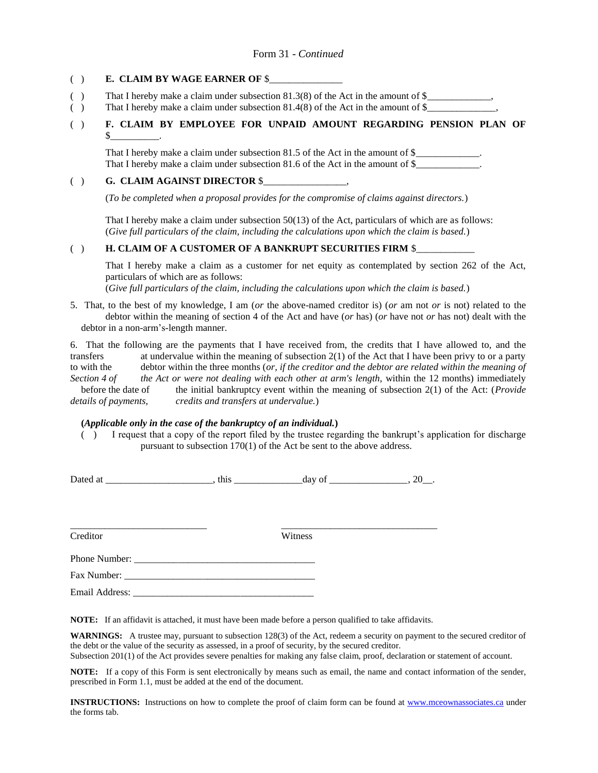### ( ) **E. CLAIM BY WAGE EARNER OF** \$\_\_\_\_\_\_\_\_\_\_\_\_\_\_\_

- () That I hereby make a claim under subsection  $81.3(8)$  of the Act in the amount of  $\$\_\_\_\_\_\_\_$
- () That I hereby make a claim under subsection  $81.4(8)$  of the Act in the amount of  $\frac{8}{2}$

## ( ) **F. CLAIM BY EMPLOYEE FOR UNPAID AMOUNT REGARDING PENSION PLAN OF**  $\mathbb S$

That I hereby make a claim under subsection 81.5 of the Act in the amount of \$ That I hereby make a claim under subsection 81.6 of the Act in the amount of \$\_\_\_\_\_\_\_\_\_\_\_\_.

### ( ) **G. CLAIM AGAINST DIRECTOR** \$\_\_\_\_\_\_\_\_\_\_\_\_\_\_\_\_\_,

(*To be completed when a proposal provides for the compromise of claims against directors.*)

That I hereby make a claim under subsection 50(13) of the Act, particulars of which are as follows: (*Give full particulars of the claim, including the calculations upon which the claim is based.*)

### ( ) **H. CLAIM OF A CUSTOMER OF A BANKRUPT SECURITIES FIRM \$**

That I hereby make a claim as a customer for net equity as contemplated by section 262 of the Act, particulars of which are as follows:

(*Give full particulars of the claim, including the calculations upon which the claim is based.*)

5. That, to the best of my knowledge, I am (*or* the above-named creditor is) (*or* am not *or* is not) related to the debtor within the meaning of section 4 of the Act and have (*or* has) (*or* have not *or* has not) dealt with the debtor in a non-arm's-length manner.

6. That the following are the payments that I have received from, the credits that I have allowed to, and the transfers at undervalue within the meaning of subsection 2(1) of the Act that I have been privy to or a party to with the debtor within the three months (*or, if the creditor and the debtor are related within the meaning of* Section 4 of the Act or were not dealing with each other at arm's length, within the 12 months) immediately before the date of the initial bankruptcy event within the meaning of subsection 2(1) of the Act: (*Provide details of payments, credits and transfers at undervalue.*)

## **(***Applicable only in the case of the bankruptcy of an individual.***)**

( ) I request that a copy of the report filed by the trustee regarding the bankrupt's application for discharge pursuant to subsection 170(1) of the Act be sent to the above address.

| D<br><br>∸<br>- |  |  |  |  |  |
|-----------------|--|--|--|--|--|
|-----------------|--|--|--|--|--|

Creditor Witness

\_\_\_\_\_\_\_\_\_\_\_\_\_\_\_\_\_\_\_\_\_\_\_\_\_\_\_\_ \_\_\_\_\_\_\_\_\_\_\_\_\_\_\_\_\_\_\_\_\_\_\_\_\_\_\_\_\_\_\_\_

Phone Number: \_\_\_\_\_\_\_\_\_\_\_\_\_\_\_\_\_\_\_\_\_\_\_\_\_\_\_\_\_\_\_\_\_\_\_\_\_

Fax Number:

Email Address: \_\_\_\_\_\_\_\_\_\_\_\_\_\_\_\_\_\_\_\_\_\_\_\_\_\_\_\_\_\_\_\_\_\_\_\_\_

**NOTE:** If an affidavit is attached, it must have been made before a person qualified to take affidavits.

**WARNINGS:** A trustee may, pursuant to subsection 128(3) of the Act, redeem a security on payment to the secured creditor of the debt or the value of the security as assessed, in a proof of security, by the secured creditor.

Subsection 201(1) of the Act provides severe penalties for making any false claim, proof, declaration or statement of account.

**NOTE:** If a copy of this Form is sent electronically by means such as email, the name and contact information of the sender, prescribed in Form 1.1, must be added at the end of the document.

**INSTRUCTIONS:** Instructions on how to complete the proof of claim form can be found at [www.mceownassociates.ca](http://www.mceownassociates.ca/) under the forms tab.